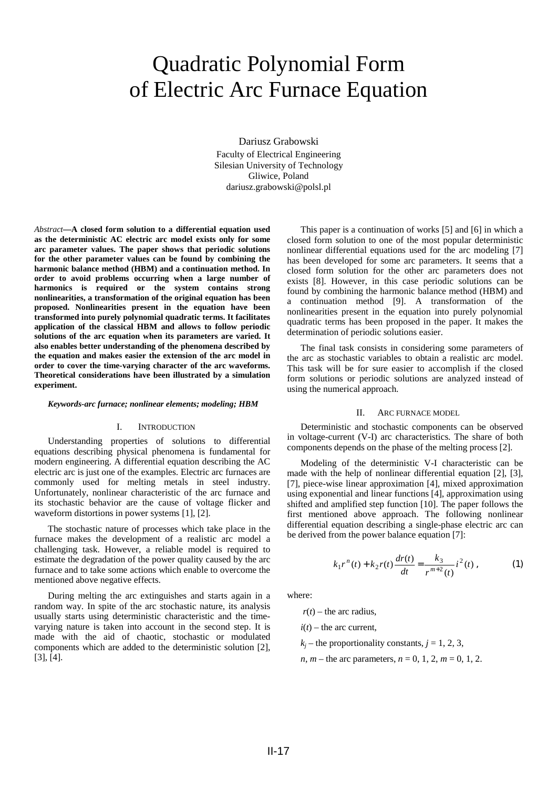# Quadratic Polynomial Form of Electric Arc Furnace Equation

Dariusz Grabowski

Faculty of Electrical Engineering Silesian University of Technology Gliwice, Poland dariusz.grabowski@polsl.pl

*Abstract***—A closed form solution to a differential equation used as the deterministic AC electric arc model exists only for some arc parameter values. The paper shows that periodic solutions for the other parameter values can be found by combining the harmonic balance method (HBM) and a continuation method. In order to avoid problems occurring when a large number of harmonics is required or the system contains strong nonlinearities, a transformation of the original equation has been proposed. Nonlinearities present in the equation have been transformed into purely polynomial quadratic terms. It facilitates application of the classical HBM and allows to follow periodic solutions of the arc equation when its parameters are varied. It also enables better understanding of the phenomena described by the equation and makes easier the extension of the arc model in order to cover the time-varying character of the arc waveforms. Theoretical considerations have been illustrated by a simulation experiment.** 

#### *Keywords-arc furnace; nonlinear elements; modeling; HBM*

## I. INTRODUCTION

Understanding properties of solutions to differential equations describing physical phenomena is fundamental for modern engineering. A differential equation describing the AC electric arc is just one of the examples. Electric arc furnaces are commonly used for melting metals in steel industry. Unfortunately, nonlinear characteristic of the arc furnace and its stochastic behavior are the cause of voltage flicker and waveform distortions in power systems [1], [2].

The stochastic nature of processes which take place in the furnace makes the development of a realistic arc model a challenging task. However, a reliable model is required to estimate the degradation of the power quality caused by the arc furnace and to take some actions which enable to overcome the mentioned above negative effects.

During melting the arc extinguishes and starts again in a random way. In spite of the arc stochastic nature, its analysis usually starts using deterministic characteristic and the timevarying nature is taken into account in the second step. It is made with the aid of chaotic, stochastic or modulated components which are added to the deterministic solution [2], [3], [4].

This paper is a continuation of works [5] and [6] in which a closed form solution to one of the most popular deterministic nonlinear differential equations used for the arc modeling [7] has been developed for some arc parameters. It seems that a closed form solution for the other arc parameters does not exists [8]. However, in this case periodic solutions can be found by combining the harmonic balance method (HBM) and a continuation method [9]. A transformation of the nonlinearities present in the equation into purely polynomial quadratic terms has been proposed in the paper. It makes the determination of periodic solutions easier.

The final task consists in considering some parameters of the arc as stochastic variables to obtain a realistic arc model. This task will be for sure easier to accomplish if the closed form solutions or periodic solutions are analyzed instead of using the numerical approach.

#### II. ARC FURNACE MODEL

Deterministic and stochastic components can be observed in voltage-current (V-I) arc characteristics. The share of both components depends on the phase of the melting process [2].

Modeling of the deterministic V-I characteristic can be made with the help of nonlinear differential equation [2], [3], [7], piece-wise linear approximation [4], mixed approximation using exponential and linear functions [4], approximation using shifted and amplified step function [10]. The paper follows the first mentioned above approach. The following nonlinear differential equation describing a single-phase electric arc can be derived from the power balance equation [7]:

$$
k_1 r^n(t) + k_2 r(t) \frac{dr(t)}{dt} = \frac{k_3}{r^{m+2}(t)} i^2(t) ,
$$
 (1)

where:

 $r(t)$  – the arc radius.

 $i(t)$  – the arc current,

 $k_j$  – the proportionality constants,  $j = 1, 2, 3$ ,

*n*, *m* – the arc parameters, *n* = 0, 1, 2, *m* = 0, 1, 2.